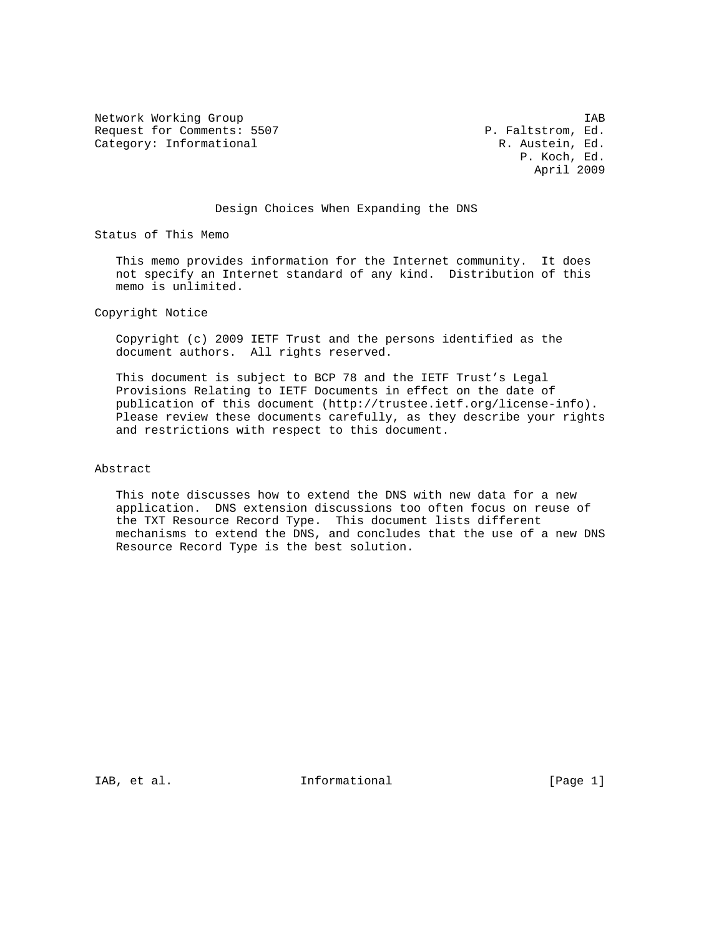Network Working Group 188 (North States 1998)<br>Request for Comments: 5507 (North States 1998) P. Faltstrom, Ed. Request for Comments: 5507 Category: Informational R. Austein, Ed.

 P. Koch, Ed. April 2009

### Design Choices When Expanding the DNS

Status of This Memo

 This memo provides information for the Internet community. It does not specify an Internet standard of any kind. Distribution of this memo is unlimited.

Copyright Notice

 Copyright (c) 2009 IETF Trust and the persons identified as the document authors. All rights reserved.

 This document is subject to BCP 78 and the IETF Trust's Legal Provisions Relating to IETF Documents in effect on the date of publication of this document (http://trustee.ietf.org/license-info). Please review these documents carefully, as they describe your rights and restrictions with respect to this document.

#### Abstract

 This note discusses how to extend the DNS with new data for a new application. DNS extension discussions too often focus on reuse of the TXT Resource Record Type. This document lists different mechanisms to extend the DNS, and concludes that the use of a new DNS Resource Record Type is the best solution.

IAB, et al.  $\qquad \qquad$  Informational  $[Page 1]$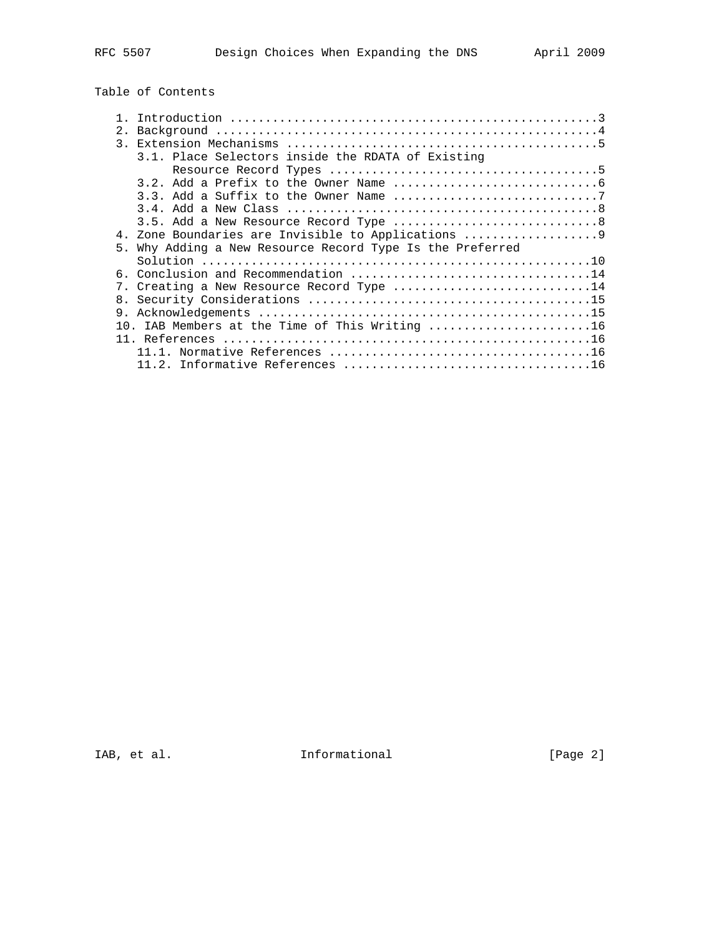# Table of Contents

| 2. |                                                                                                               |
|----|---------------------------------------------------------------------------------------------------------------|
|    |                                                                                                               |
|    |                                                                                                               |
|    | 3.1. Place Selectors inside the RDATA of Existing                                                             |
|    |                                                                                                               |
|    |                                                                                                               |
|    |                                                                                                               |
|    |                                                                                                               |
|    |                                                                                                               |
|    |                                                                                                               |
|    | 4. Zone Boundaries are Invisible to Applications                                                              |
|    | 5. Why Adding a New Resource Record Type Is the Preferred                                                     |
|    |                                                                                                               |
|    |                                                                                                               |
|    | 7. Creating a New Resource Record Type 14                                                                     |
| 8. |                                                                                                               |
|    |                                                                                                               |
|    |                                                                                                               |
|    | 10. IAB Members at the Time of This Writing 16                                                                |
|    |                                                                                                               |
|    | $11.1.$ Normative References $\,\ldots\ldots\ldots\ldots\ldots\ldots\ldots\ldots\ldots\ldots\ldots\ldots\,16$ |
|    |                                                                                                               |

IAB, et al. 10 1nformational 1.1 [Page 2]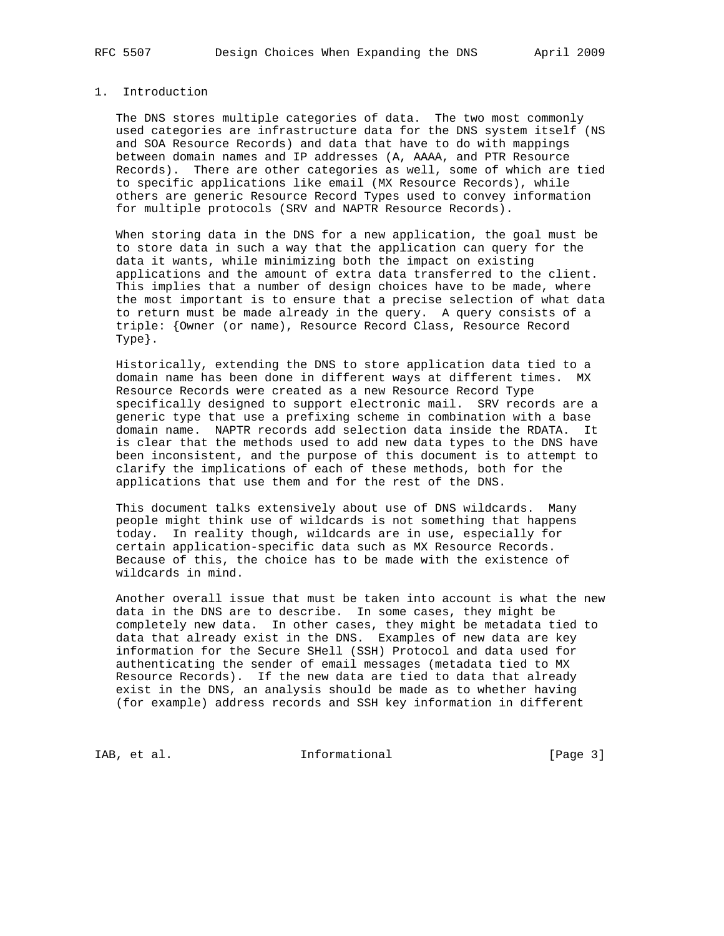# 1. Introduction

 The DNS stores multiple categories of data. The two most commonly used categories are infrastructure data for the DNS system itself (NS and SOA Resource Records) and data that have to do with mappings between domain names and IP addresses (A, AAAA, and PTR Resource Records). There are other categories as well, some of which are tied to specific applications like email (MX Resource Records), while others are generic Resource Record Types used to convey information for multiple protocols (SRV and NAPTR Resource Records).

 When storing data in the DNS for a new application, the goal must be to store data in such a way that the application can query for the data it wants, while minimizing both the impact on existing applications and the amount of extra data transferred to the client. This implies that a number of design choices have to be made, where the most important is to ensure that a precise selection of what data to return must be made already in the query. A query consists of a triple: {Owner (or name), Resource Record Class, Resource Record Type}.

 Historically, extending the DNS to store application data tied to a domain name has been done in different ways at different times. MX Resource Records were created as a new Resource Record Type specifically designed to support electronic mail. SRV records are a generic type that use a prefixing scheme in combination with a base domain name. NAPTR records add selection data inside the RDATA. It is clear that the methods used to add new data types to the DNS have been inconsistent, and the purpose of this document is to attempt to clarify the implications of each of these methods, both for the applications that use them and for the rest of the DNS.

 This document talks extensively about use of DNS wildcards. Many people might think use of wildcards is not something that happens today. In reality though, wildcards are in use, especially for certain application-specific data such as MX Resource Records. Because of this, the choice has to be made with the existence of wildcards in mind.

 Another overall issue that must be taken into account is what the new data in the DNS are to describe. In some cases, they might be completely new data. In other cases, they might be metadata tied to data that already exist in the DNS. Examples of new data are key information for the Secure SHell (SSH) Protocol and data used for authenticating the sender of email messages (metadata tied to MX Resource Records). If the new data are tied to data that already exist in the DNS, an analysis should be made as to whether having (for example) address records and SSH key information in different

IAB, et al. 100 Informational 128 [Page 3]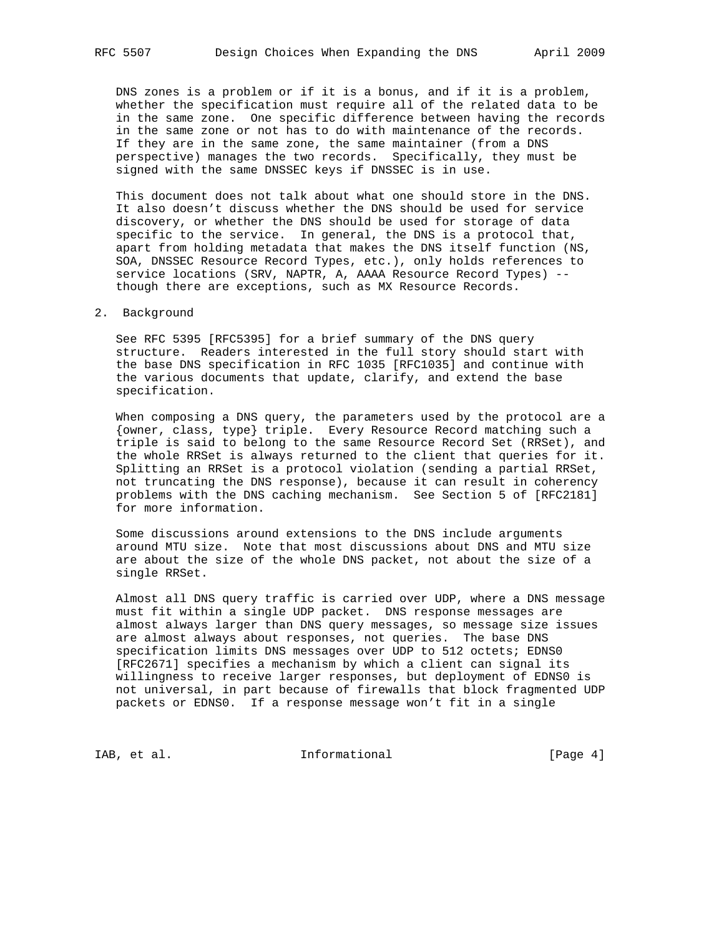DNS zones is a problem or if it is a bonus, and if it is a problem, whether the specification must require all of the related data to be in the same zone. One specific difference between having the records in the same zone or not has to do with maintenance of the records. If they are in the same zone, the same maintainer (from a DNS perspective) manages the two records. Specifically, they must be signed with the same DNSSEC keys if DNSSEC is in use.

 This document does not talk about what one should store in the DNS. It also doesn't discuss whether the DNS should be used for service discovery, or whether the DNS should be used for storage of data specific to the service. In general, the DNS is a protocol that, apart from holding metadata that makes the DNS itself function (NS, SOA, DNSSEC Resource Record Types, etc.), only holds references to service locations (SRV, NAPTR, A, AAAA Resource Record Types) - though there are exceptions, such as MX Resource Records.

#### 2. Background

 See RFC 5395 [RFC5395] for a brief summary of the DNS query structure. Readers interested in the full story should start with the base DNS specification in RFC 1035 [RFC1035] and continue with the various documents that update, clarify, and extend the base specification.

 When composing a DNS query, the parameters used by the protocol are a {owner, class, type} triple. Every Resource Record matching such a triple is said to belong to the same Resource Record Set (RRSet), and the whole RRSet is always returned to the client that queries for it. Splitting an RRSet is a protocol violation (sending a partial RRSet, not truncating the DNS response), because it can result in coherency problems with the DNS caching mechanism. See Section 5 of [RFC2181] for more information.

 Some discussions around extensions to the DNS include arguments around MTU size. Note that most discussions about DNS and MTU size are about the size of the whole DNS packet, not about the size of a single RRSet.

 Almost all DNS query traffic is carried over UDP, where a DNS message must fit within a single UDP packet. DNS response messages are almost always larger than DNS query messages, so message size issues are almost always about responses, not queries. The base DNS specification limits DNS messages over UDP to 512 octets; EDNS0 [RFC2671] specifies a mechanism by which a client can signal its willingness to receive larger responses, but deployment of EDNS0 is not universal, in part because of firewalls that block fragmented UDP packets or EDNS0. If a response message won't fit in a single

IAB, et al. 100 Informational 128 [Page 4]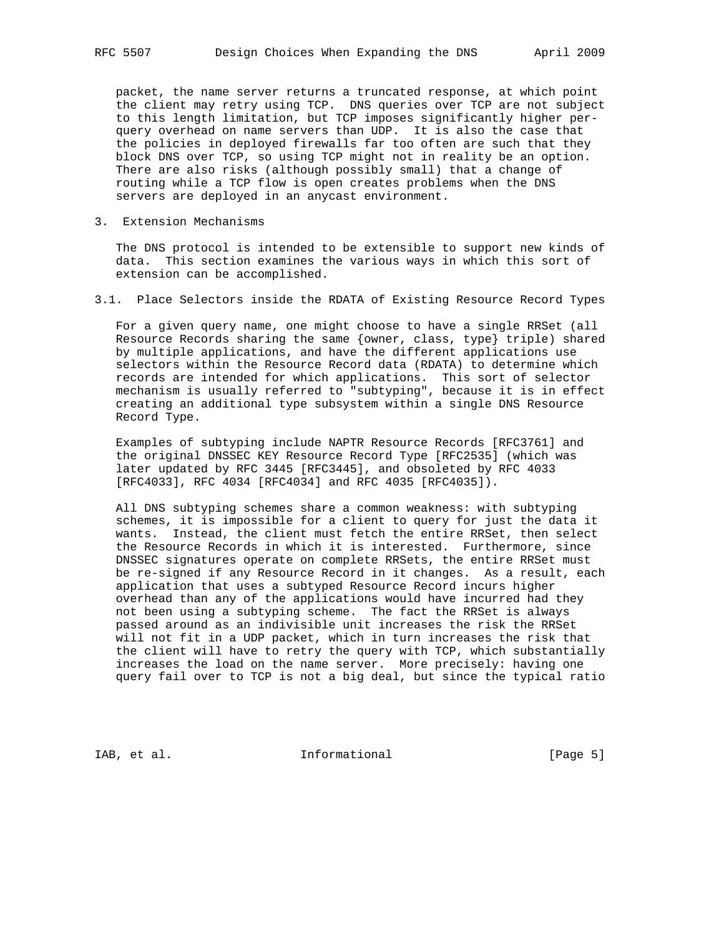packet, the name server returns a truncated response, at which point the client may retry using TCP. DNS queries over TCP are not subject to this length limitation, but TCP imposes significantly higher per query overhead on name servers than UDP. It is also the case that the policies in deployed firewalls far too often are such that they block DNS over TCP, so using TCP might not in reality be an option. There are also risks (although possibly small) that a change of routing while a TCP flow is open creates problems when the DNS servers are deployed in an anycast environment.

3. Extension Mechanisms

 The DNS protocol is intended to be extensible to support new kinds of data. This section examines the various ways in which this sort of extension can be accomplished.

3.1. Place Selectors inside the RDATA of Existing Resource Record Types

 For a given query name, one might choose to have a single RRSet (all Resource Records sharing the same {owner, class, type} triple) shared by multiple applications, and have the different applications use selectors within the Resource Record data (RDATA) to determine which records are intended for which applications. This sort of selector mechanism is usually referred to "subtyping", because it is in effect creating an additional type subsystem within a single DNS Resource Record Type.

 Examples of subtyping include NAPTR Resource Records [RFC3761] and the original DNSSEC KEY Resource Record Type [RFC2535] (which was later updated by RFC 3445 [RFC3445], and obsoleted by RFC 4033 [RFC4033], RFC 4034 [RFC4034] and RFC 4035 [RFC4035]).

 All DNS subtyping schemes share a common weakness: with subtyping schemes, it is impossible for a client to query for just the data it wants. Instead, the client must fetch the entire RRSet, then select the Resource Records in which it is interested. Furthermore, since DNSSEC signatures operate on complete RRSets, the entire RRSet must be re-signed if any Resource Record in it changes. As a result, each application that uses a subtyped Resource Record incurs higher overhead than any of the applications would have incurred had they not been using a subtyping scheme. The fact the RRSet is always passed around as an indivisible unit increases the risk the RRSet will not fit in a UDP packet, which in turn increases the risk that the client will have to retry the query with TCP, which substantially increases the load on the name server. More precisely: having one query fail over to TCP is not a big deal, but since the typical ratio

IAB, et al. 100 mm informational 1.1 [Page 5]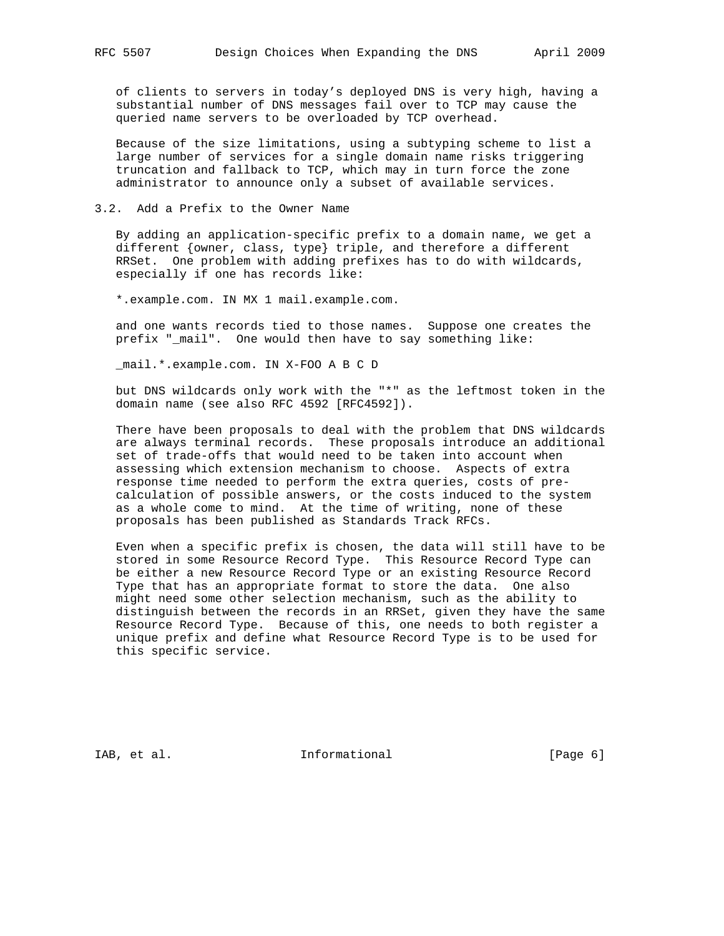of clients to servers in today's deployed DNS is very high, having a substantial number of DNS messages fail over to TCP may cause the queried name servers to be overloaded by TCP overhead.

 Because of the size limitations, using a subtyping scheme to list a large number of services for a single domain name risks triggering truncation and fallback to TCP, which may in turn force the zone administrator to announce only a subset of available services.

#### 3.2. Add a Prefix to the Owner Name

 By adding an application-specific prefix to a domain name, we get a different {owner, class, type} triple, and therefore a different RRSet. One problem with adding prefixes has to do with wildcards, especially if one has records like:

\*.example.com. IN MX 1 mail.example.com.

 and one wants records tied to those names. Suppose one creates the prefix "\_mail". One would then have to say something like:

\_mail.\*.example.com. IN X-FOO A B C D

 but DNS wildcards only work with the "\*" as the leftmost token in the domain name (see also RFC 4592 [RFC4592]).

 There have been proposals to deal with the problem that DNS wildcards are always terminal records. These proposals introduce an additional set of trade-offs that would need to be taken into account when assessing which extension mechanism to choose. Aspects of extra response time needed to perform the extra queries, costs of pre calculation of possible answers, or the costs induced to the system as a whole come to mind. At the time of writing, none of these proposals has been published as Standards Track RFCs.

 Even when a specific prefix is chosen, the data will still have to be stored in some Resource Record Type. This Resource Record Type can be either a new Resource Record Type or an existing Resource Record Type that has an appropriate format to store the data. One also might need some other selection mechanism, such as the ability to distinguish between the records in an RRSet, given they have the same Resource Record Type. Because of this, one needs to both register a unique prefix and define what Resource Record Type is to be used for this specific service.

IAB, et al. 100 mm informational 1.1 [Page 6]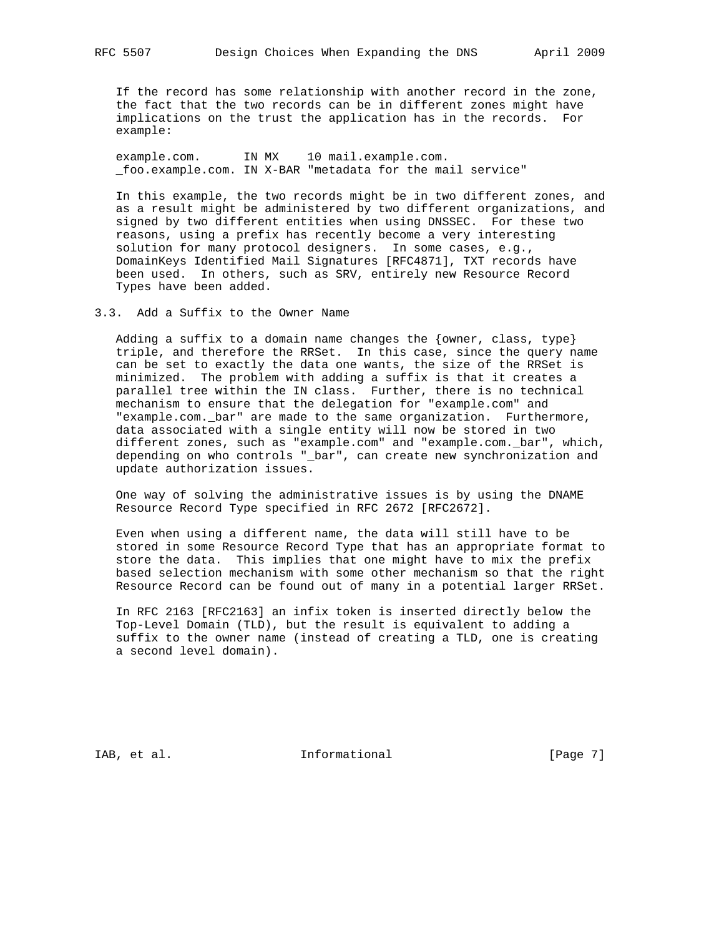If the record has some relationship with another record in the zone, the fact that the two records can be in different zones might have implications on the trust the application has in the records. For example:

 example.com. IN MX 10 mail.example.com. \_foo.example.com. IN X-BAR "metadata for the mail service"

 In this example, the two records might be in two different zones, and as a result might be administered by two different organizations, and signed by two different entities when using DNSSEC. For these two reasons, using a prefix has recently become a very interesting solution for many protocol designers. In some cases, e.g., DomainKeys Identified Mail Signatures [RFC4871], TXT records have been used. In others, such as SRV, entirely new Resource Record Types have been added.

3.3. Add a Suffix to the Owner Name

Adding a suffix to a domain name changes the  $\{ \text{owner}, \text{ class}, \text{ type} \}$  triple, and therefore the RRSet. In this case, since the query name can be set to exactly the data one wants, the size of the RRSet is minimized. The problem with adding a suffix is that it creates a parallel tree within the IN class. Further, there is no technical mechanism to ensure that the delegation for "example.com" and "example.com.\_bar" are made to the same organization. Furthermore, data associated with a single entity will now be stored in two different zones, such as "example.com" and "example.com.\_bar", which, depending on who controls "\_bar", can create new synchronization and update authorization issues.

 One way of solving the administrative issues is by using the DNAME Resource Record Type specified in RFC 2672 [RFC2672].

 Even when using a different name, the data will still have to be stored in some Resource Record Type that has an appropriate format to store the data. This implies that one might have to mix the prefix based selection mechanism with some other mechanism so that the right Resource Record can be found out of many in a potential larger RRSet.

 In RFC 2163 [RFC2163] an infix token is inserted directly below the Top-Level Domain (TLD), but the result is equivalent to adding a suffix to the owner name (instead of creating a TLD, one is creating a second level domain).

IAB, et al. 100 mm informational 1.1 mm informational [Page 7]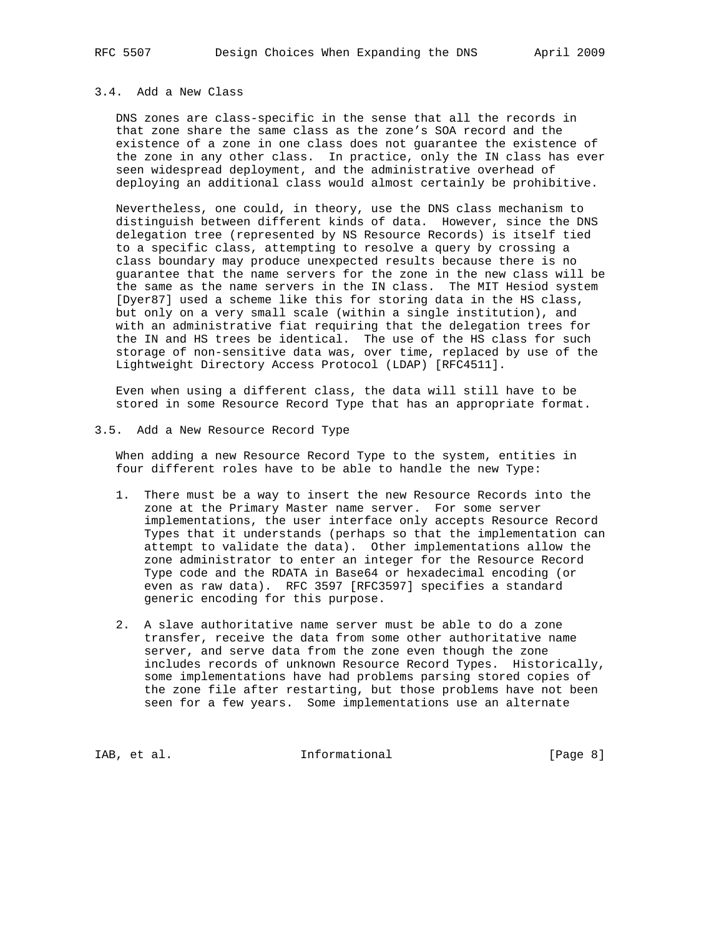## 3.4. Add a New Class

 DNS zones are class-specific in the sense that all the records in that zone share the same class as the zone's SOA record and the existence of a zone in one class does not guarantee the existence of the zone in any other class. In practice, only the IN class has ever seen widespread deployment, and the administrative overhead of deploying an additional class would almost certainly be prohibitive.

 Nevertheless, one could, in theory, use the DNS class mechanism to distinguish between different kinds of data. However, since the DNS delegation tree (represented by NS Resource Records) is itself tied to a specific class, attempting to resolve a query by crossing a class boundary may produce unexpected results because there is no guarantee that the name servers for the zone in the new class will be the same as the name servers in the IN class. The MIT Hesiod system [Dyer87] used a scheme like this for storing data in the HS class, but only on a very small scale (within a single institution), and with an administrative fiat requiring that the delegation trees for the IN and HS trees be identical. The use of the HS class for such storage of non-sensitive data was, over time, replaced by use of the Lightweight Directory Access Protocol (LDAP) [RFC4511].

 Even when using a different class, the data will still have to be stored in some Resource Record Type that has an appropriate format.

3.5. Add a New Resource Record Type

 When adding a new Resource Record Type to the system, entities in four different roles have to be able to handle the new Type:

- 1. There must be a way to insert the new Resource Records into the zone at the Primary Master name server. For some server implementations, the user interface only accepts Resource Record Types that it understands (perhaps so that the implementation can attempt to validate the data). Other implementations allow the zone administrator to enter an integer for the Resource Record Type code and the RDATA in Base64 or hexadecimal encoding (or even as raw data). RFC 3597 [RFC3597] specifies a standard generic encoding for this purpose.
- 2. A slave authoritative name server must be able to do a zone transfer, receive the data from some other authoritative name server, and serve data from the zone even though the zone includes records of unknown Resource Record Types. Historically, some implementations have had problems parsing stored copies of the zone file after restarting, but those problems have not been seen for a few years. Some implementations use an alternate

IAB, et al. 100 Informational 128 [Page 8]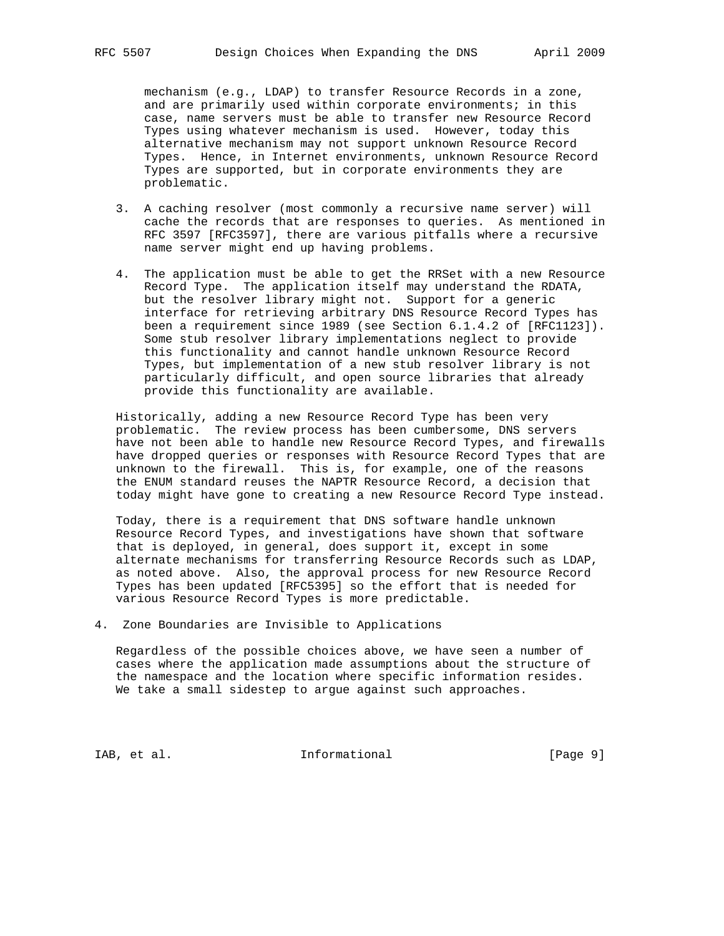mechanism (e.g., LDAP) to transfer Resource Records in a zone, and are primarily used within corporate environments; in this case, name servers must be able to transfer new Resource Record Types using whatever mechanism is used. However, today this alternative mechanism may not support unknown Resource Record Types. Hence, in Internet environments, unknown Resource Record Types are supported, but in corporate environments they are problematic.

- 3. A caching resolver (most commonly a recursive name server) will cache the records that are responses to queries. As mentioned in RFC 3597 [RFC3597], there are various pitfalls where a recursive name server might end up having problems.
- 4. The application must be able to get the RRSet with a new Resource Record Type. The application itself may understand the RDATA, but the resolver library might not. Support for a generic interface for retrieving arbitrary DNS Resource Record Types has been a requirement since 1989 (see Section 6.1.4.2 of [RFC1123]). Some stub resolver library implementations neglect to provide this functionality and cannot handle unknown Resource Record Types, but implementation of a new stub resolver library is not particularly difficult, and open source libraries that already provide this functionality are available.

 Historically, adding a new Resource Record Type has been very problematic. The review process has been cumbersome, DNS servers have not been able to handle new Resource Record Types, and firewalls have dropped queries or responses with Resource Record Types that are unknown to the firewall. This is, for example, one of the reasons the ENUM standard reuses the NAPTR Resource Record, a decision that today might have gone to creating a new Resource Record Type instead.

 Today, there is a requirement that DNS software handle unknown Resource Record Types, and investigations have shown that software that is deployed, in general, does support it, except in some alternate mechanisms for transferring Resource Records such as LDAP, as noted above. Also, the approval process for new Resource Record Types has been updated [RFC5395] so the effort that is needed for various Resource Record Types is more predictable.

4. Zone Boundaries are Invisible to Applications

 Regardless of the possible choices above, we have seen a number of cases where the application made assumptions about the structure of the namespace and the location where specific information resides. We take a small sidestep to argue against such approaches.

IAB, et al.  $\qquad \qquad$  Informational  $[Page 9]$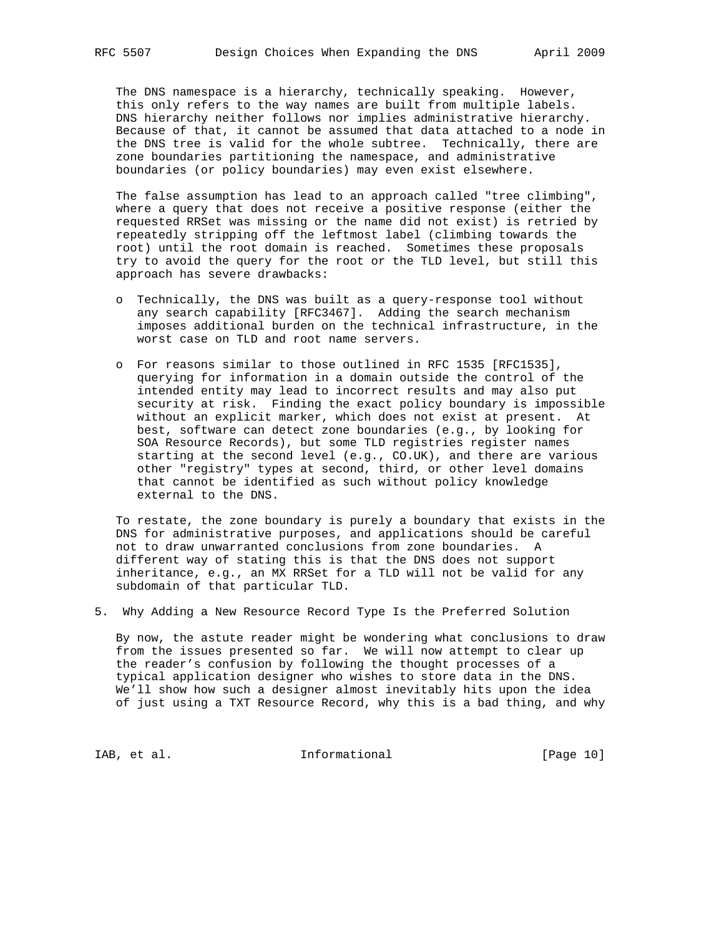The DNS namespace is a hierarchy, technically speaking. However, this only refers to the way names are built from multiple labels. DNS hierarchy neither follows nor implies administrative hierarchy. Because of that, it cannot be assumed that data attached to a node in the DNS tree is valid for the whole subtree. Technically, there are zone boundaries partitioning the namespace, and administrative boundaries (or policy boundaries) may even exist elsewhere.

 The false assumption has lead to an approach called "tree climbing", where a query that does not receive a positive response (either the requested RRSet was missing or the name did not exist) is retried by repeatedly stripping off the leftmost label (climbing towards the root) until the root domain is reached. Sometimes these proposals try to avoid the query for the root or the TLD level, but still this approach has severe drawbacks:

- o Technically, the DNS was built as a query-response tool without any search capability [RFC3467]. Adding the search mechanism imposes additional burden on the technical infrastructure, in the worst case on TLD and root name servers.
- o For reasons similar to those outlined in RFC 1535 [RFC1535], querying for information in a domain outside the control of the intended entity may lead to incorrect results and may also put security at risk. Finding the exact policy boundary is impossible without an explicit marker, which does not exist at present. At best, software can detect zone boundaries (e.g., by looking for SOA Resource Records), but some TLD registries register names starting at the second level (e.g., CO.UK), and there are various other "registry" types at second, third, or other level domains that cannot be identified as such without policy knowledge external to the DNS.

 To restate, the zone boundary is purely a boundary that exists in the DNS for administrative purposes, and applications should be careful not to draw unwarranted conclusions from zone boundaries. A different way of stating this is that the DNS does not support inheritance, e.g., an MX RRSet for a TLD will not be valid for any subdomain of that particular TLD.

5. Why Adding a New Resource Record Type Is the Preferred Solution

 By now, the astute reader might be wondering what conclusions to draw from the issues presented so far. We will now attempt to clear up the reader's confusion by following the thought processes of a typical application designer who wishes to store data in the DNS. We'll show how such a designer almost inevitably hits upon the idea of just using a TXT Resource Record, why this is a bad thing, and why

IAB, et al. 100 Informational 128 [Page 10]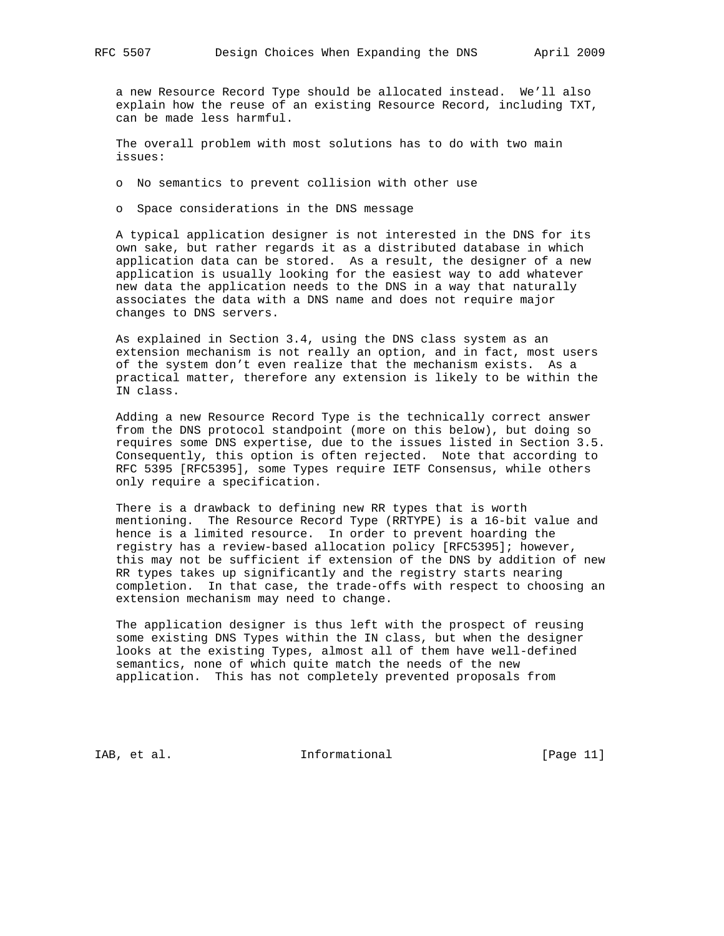a new Resource Record Type should be allocated instead. We'll also explain how the reuse of an existing Resource Record, including TXT, can be made less harmful.

 The overall problem with most solutions has to do with two main issues:

o No semantics to prevent collision with other use

o Space considerations in the DNS message

 A typical application designer is not interested in the DNS for its own sake, but rather regards it as a distributed database in which application data can be stored. As a result, the designer of a new application is usually looking for the easiest way to add whatever new data the application needs to the DNS in a way that naturally associates the data with a DNS name and does not require major changes to DNS servers.

 As explained in Section 3.4, using the DNS class system as an extension mechanism is not really an option, and in fact, most users of the system don't even realize that the mechanism exists. As a practical matter, therefore any extension is likely to be within the IN class.

 Adding a new Resource Record Type is the technically correct answer from the DNS protocol standpoint (more on this below), but doing so requires some DNS expertise, due to the issues listed in Section 3.5. Consequently, this option is often rejected. Note that according to RFC 5395 [RFC5395], some Types require IETF Consensus, while others only require a specification.

 There is a drawback to defining new RR types that is worth mentioning. The Resource Record Type (RRTYPE) is a 16-bit value and hence is a limited resource. In order to prevent hoarding the registry has a review-based allocation policy [RFC5395]; however, this may not be sufficient if extension of the DNS by addition of new RR types takes up significantly and the registry starts nearing completion. In that case, the trade-offs with respect to choosing an extension mechanism may need to change.

 The application designer is thus left with the prospect of reusing some existing DNS Types within the IN class, but when the designer looks at the existing Types, almost all of them have well-defined semantics, none of which quite match the needs of the new application. This has not completely prevented proposals from

IAB, et al. 100 mm informational 1.1 [Page 11]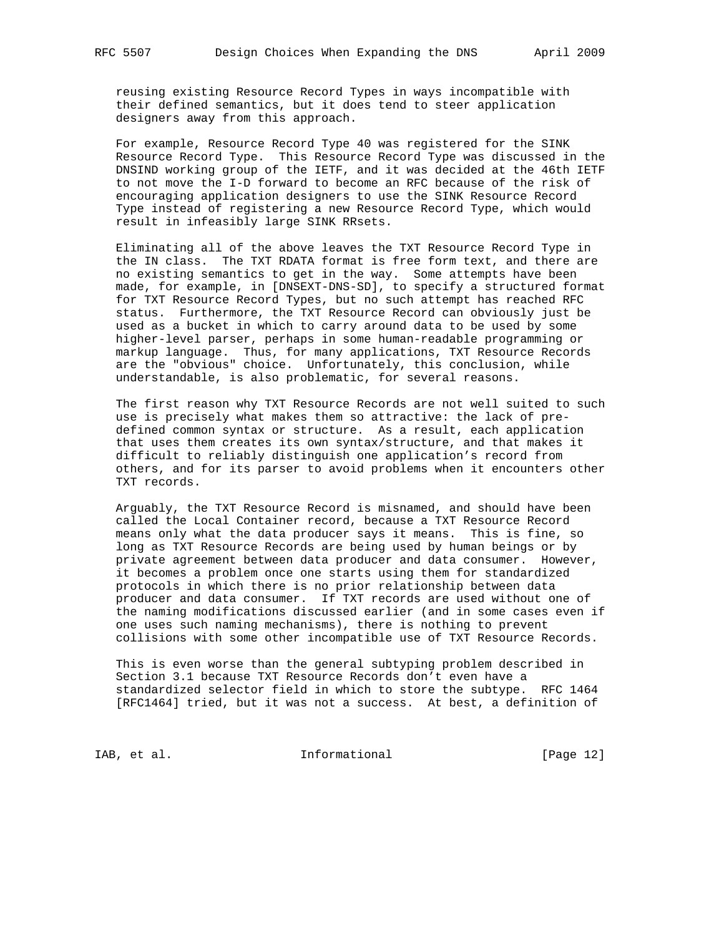reusing existing Resource Record Types in ways incompatible with their defined semantics, but it does tend to steer application designers away from this approach.

 For example, Resource Record Type 40 was registered for the SINK Resource Record Type. This Resource Record Type was discussed in the DNSIND working group of the IETF, and it was decided at the 46th IETF to not move the I-D forward to become an RFC because of the risk of encouraging application designers to use the SINK Resource Record Type instead of registering a new Resource Record Type, which would result in infeasibly large SINK RRsets.

 Eliminating all of the above leaves the TXT Resource Record Type in the IN class. The TXT RDATA format is free form text, and there are no existing semantics to get in the way. Some attempts have been made, for example, in [DNSEXT-DNS-SD], to specify a structured format for TXT Resource Record Types, but no such attempt has reached RFC status. Furthermore, the TXT Resource Record can obviously just be used as a bucket in which to carry around data to be used by some higher-level parser, perhaps in some human-readable programming or markup language. Thus, for many applications, TXT Resource Records are the "obvious" choice. Unfortunately, this conclusion, while understandable, is also problematic, for several reasons.

 The first reason why TXT Resource Records are not well suited to such use is precisely what makes them so attractive: the lack of pre defined common syntax or structure. As a result, each application that uses them creates its own syntax/structure, and that makes it difficult to reliably distinguish one application's record from others, and for its parser to avoid problems when it encounters other TXT records.

 Arguably, the TXT Resource Record is misnamed, and should have been called the Local Container record, because a TXT Resource Record means only what the data producer says it means. This is fine, so long as TXT Resource Records are being used by human beings or by private agreement between data producer and data consumer. However, it becomes a problem once one starts using them for standardized protocols in which there is no prior relationship between data producer and data consumer. If TXT records are used without one of the naming modifications discussed earlier (and in some cases even if one uses such naming mechanisms), there is nothing to prevent collisions with some other incompatible use of TXT Resource Records.

 This is even worse than the general subtyping problem described in Section 3.1 because TXT Resource Records don't even have a standardized selector field in which to store the subtype. RFC 1464 [RFC1464] tried, but it was not a success. At best, a definition of

IAB, et al. 100 and 100 and 100 and 100 and 100 and 100 and 100 and 12]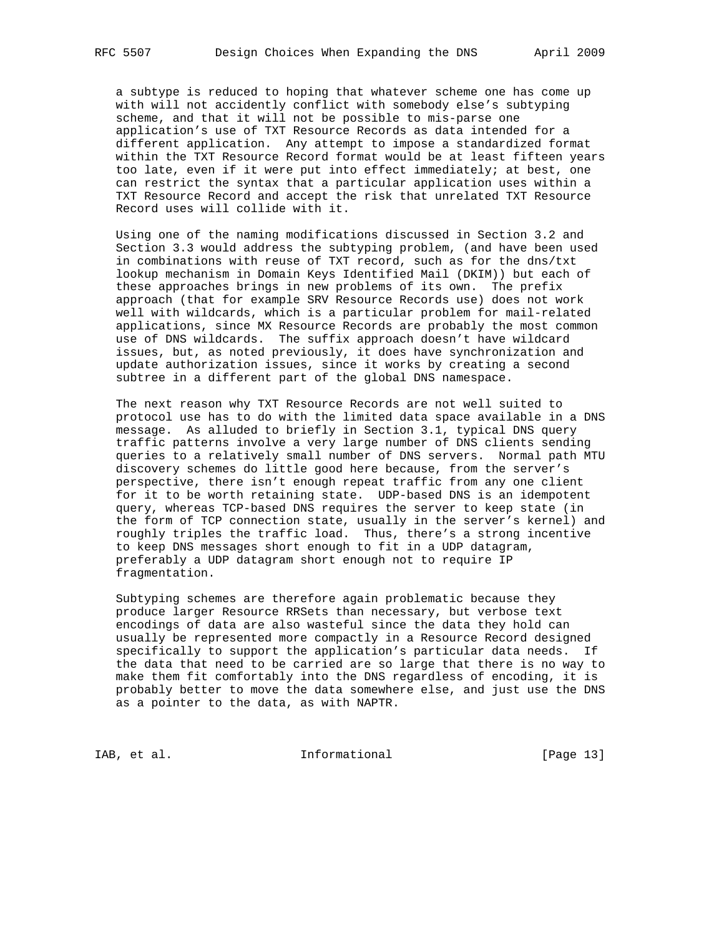a subtype is reduced to hoping that whatever scheme one has come up with will not accidently conflict with somebody else's subtyping scheme, and that it will not be possible to mis-parse one application's use of TXT Resource Records as data intended for a different application. Any attempt to impose a standardized format within the TXT Resource Record format would be at least fifteen years too late, even if it were put into effect immediately; at best, one can restrict the syntax that a particular application uses within a TXT Resource Record and accept the risk that unrelated TXT Resource Record uses will collide with it.

 Using one of the naming modifications discussed in Section 3.2 and Section 3.3 would address the subtyping problem, (and have been used in combinations with reuse of TXT record, such as for the dns/txt lookup mechanism in Domain Keys Identified Mail (DKIM)) but each of these approaches brings in new problems of its own. The prefix approach (that for example SRV Resource Records use) does not work well with wildcards, which is a particular problem for mail-related applications, since MX Resource Records are probably the most common use of DNS wildcards. The suffix approach doesn't have wildcard issues, but, as noted previously, it does have synchronization and update authorization issues, since it works by creating a second subtree in a different part of the global DNS namespace.

 The next reason why TXT Resource Records are not well suited to protocol use has to do with the limited data space available in a DNS message. As alluded to briefly in Section 3.1, typical DNS query traffic patterns involve a very large number of DNS clients sending queries to a relatively small number of DNS servers. Normal path MTU discovery schemes do little good here because, from the server's perspective, there isn't enough repeat traffic from any one client for it to be worth retaining state. UDP-based DNS is an idempotent query, whereas TCP-based DNS requires the server to keep state (in the form of TCP connection state, usually in the server's kernel) and roughly triples the traffic load. Thus, there's a strong incentive to keep DNS messages short enough to fit in a UDP datagram, preferably a UDP datagram short enough not to require IP fragmentation.

 Subtyping schemes are therefore again problematic because they produce larger Resource RRSets than necessary, but verbose text encodings of data are also wasteful since the data they hold can usually be represented more compactly in a Resource Record designed specifically to support the application's particular data needs. If the data that need to be carried are so large that there is no way to make them fit comfortably into the DNS regardless of encoding, it is probably better to move the data somewhere else, and just use the DNS as a pointer to the data, as with NAPTR.

IAB, et al. 100 mm informational [Page 13]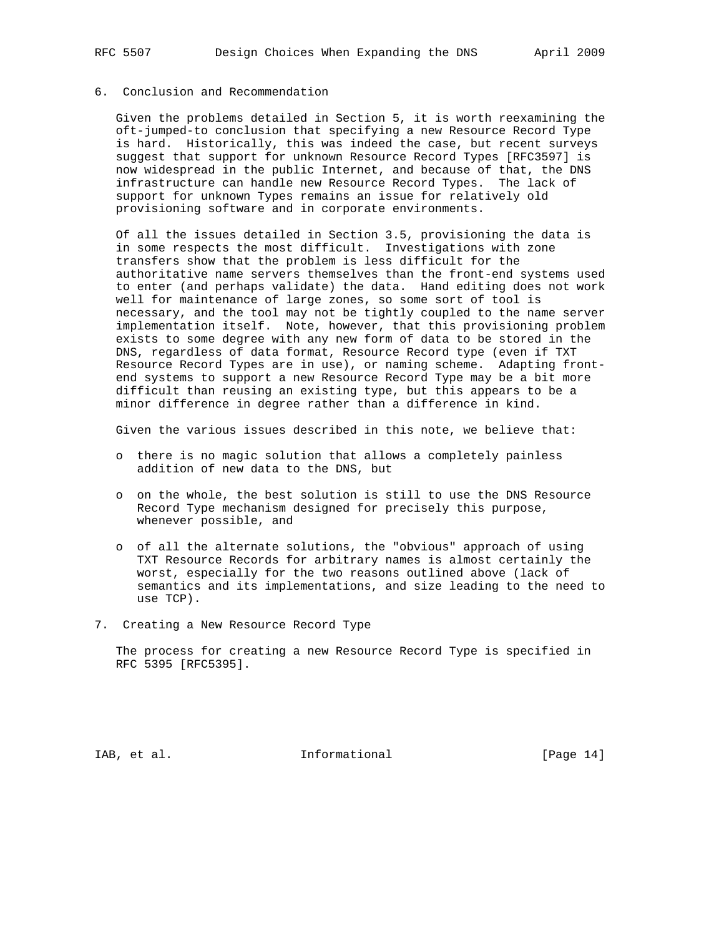# 6. Conclusion and Recommendation

 Given the problems detailed in Section 5, it is worth reexamining the oft-jumped-to conclusion that specifying a new Resource Record Type is hard. Historically, this was indeed the case, but recent surveys suggest that support for unknown Resource Record Types [RFC3597] is now widespread in the public Internet, and because of that, the DNS infrastructure can handle new Resource Record Types. The lack of support for unknown Types remains an issue for relatively old provisioning software and in corporate environments.

 Of all the issues detailed in Section 3.5, provisioning the data is in some respects the most difficult. Investigations with zone transfers show that the problem is less difficult for the authoritative name servers themselves than the front-end systems used to enter (and perhaps validate) the data. Hand editing does not work well for maintenance of large zones, so some sort of tool is necessary, and the tool may not be tightly coupled to the name server implementation itself. Note, however, that this provisioning problem exists to some degree with any new form of data to be stored in the DNS, regardless of data format, Resource Record type (even if TXT Resource Record Types are in use), or naming scheme. Adapting front end systems to support a new Resource Record Type may be a bit more difficult than reusing an existing type, but this appears to be a minor difference in degree rather than a difference in kind.

Given the various issues described in this note, we believe that:

- o there is no magic solution that allows a completely painless addition of new data to the DNS, but
- o on the whole, the best solution is still to use the DNS Resource Record Type mechanism designed for precisely this purpose, whenever possible, and
- o of all the alternate solutions, the "obvious" approach of using TXT Resource Records for arbitrary names is almost certainly the worst, especially for the two reasons outlined above (lack of semantics and its implementations, and size leading to the need to use TCP).
- 7. Creating a New Resource Record Type

 The process for creating a new Resource Record Type is specified in RFC 5395 [RFC5395].

IAB, et al. 10. Informational 1. [Page 14]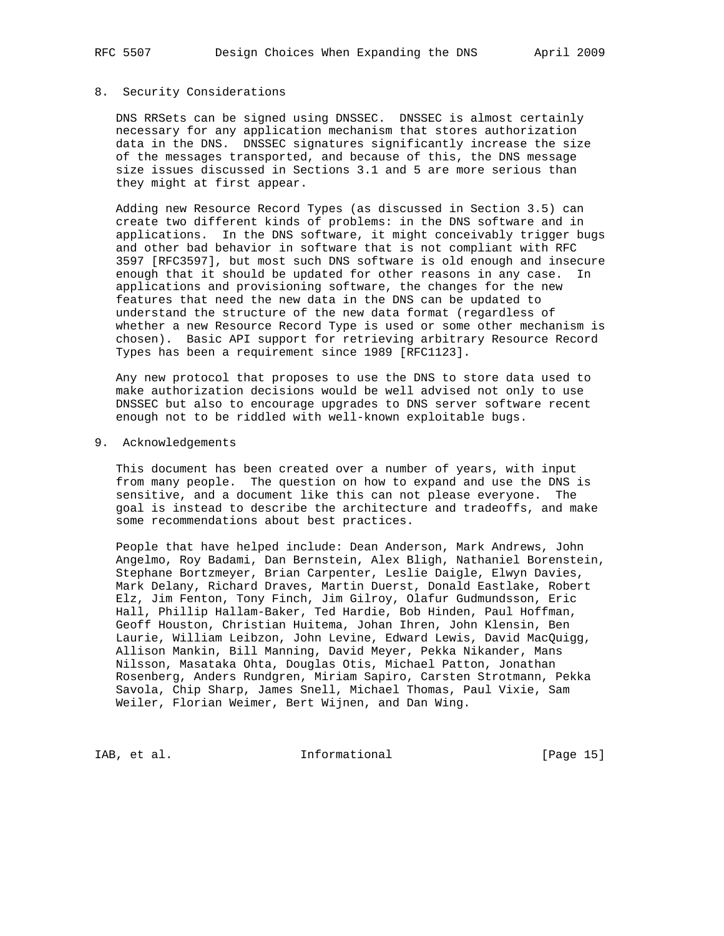#### 8. Security Considerations

 DNS RRSets can be signed using DNSSEC. DNSSEC is almost certainly necessary for any application mechanism that stores authorization data in the DNS. DNSSEC signatures significantly increase the size of the messages transported, and because of this, the DNS message size issues discussed in Sections 3.1 and 5 are more serious than they might at first appear.

 Adding new Resource Record Types (as discussed in Section 3.5) can create two different kinds of problems: in the DNS software and in applications. In the DNS software, it might conceivably trigger bugs and other bad behavior in software that is not compliant with RFC 3597 [RFC3597], but most such DNS software is old enough and insecure enough that it should be updated for other reasons in any case. In applications and provisioning software, the changes for the new features that need the new data in the DNS can be updated to understand the structure of the new data format (regardless of whether a new Resource Record Type is used or some other mechanism is chosen). Basic API support for retrieving arbitrary Resource Record Types has been a requirement since 1989 [RFC1123].

 Any new protocol that proposes to use the DNS to store data used to make authorization decisions would be well advised not only to use DNSSEC but also to encourage upgrades to DNS server software recent enough not to be riddled with well-known exploitable bugs.

#### 9. Acknowledgements

 This document has been created over a number of years, with input from many people. The question on how to expand and use the DNS is sensitive, and a document like this can not please everyone. The goal is instead to describe the architecture and tradeoffs, and make some recommendations about best practices.

 People that have helped include: Dean Anderson, Mark Andrews, John Angelmo, Roy Badami, Dan Bernstein, Alex Bligh, Nathaniel Borenstein, Stephane Bortzmeyer, Brian Carpenter, Leslie Daigle, Elwyn Davies, Mark Delany, Richard Draves, Martin Duerst, Donald Eastlake, Robert Elz, Jim Fenton, Tony Finch, Jim Gilroy, Olafur Gudmundsson, Eric Hall, Phillip Hallam-Baker, Ted Hardie, Bob Hinden, Paul Hoffman, Geoff Houston, Christian Huitema, Johan Ihren, John Klensin, Ben Laurie, William Leibzon, John Levine, Edward Lewis, David MacQuigg, Allison Mankin, Bill Manning, David Meyer, Pekka Nikander, Mans Nilsson, Masataka Ohta, Douglas Otis, Michael Patton, Jonathan Rosenberg, Anders Rundgren, Miriam Sapiro, Carsten Strotmann, Pekka Savola, Chip Sharp, James Snell, Michael Thomas, Paul Vixie, Sam Weiler, Florian Weimer, Bert Wijnen, and Dan Wing.

IAB, et al. 100 mm informational [Page 15]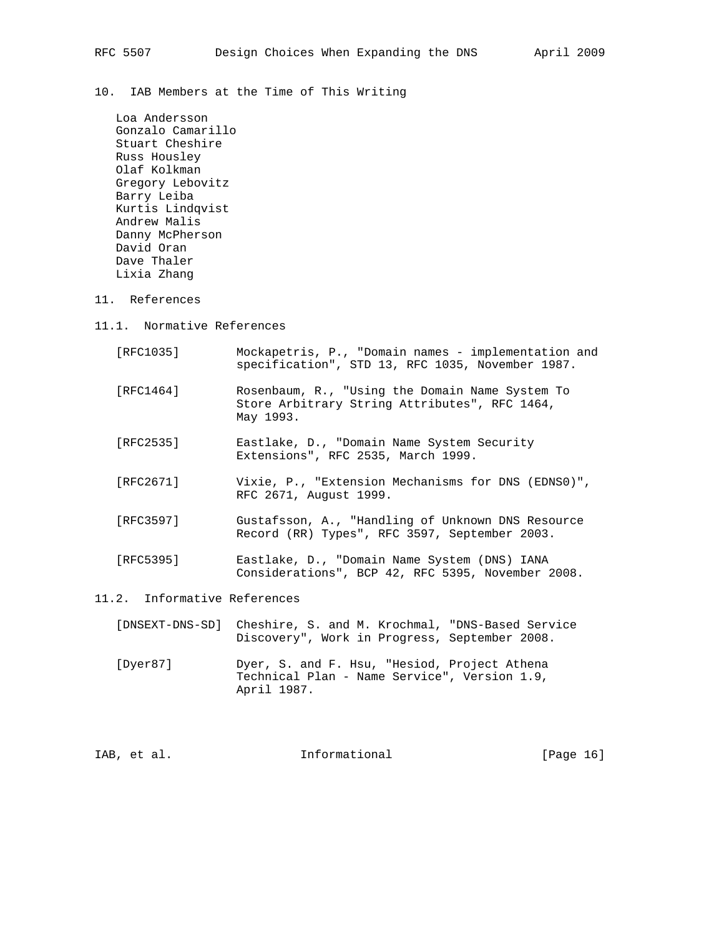10. IAB Members at the Time of This Writing

 Loa Andersson Gonzalo Camarillo Stuart Cheshire Russ Housley Olaf Kolkman Gregory Lebovitz Barry Leiba Kurtis Lindqvist Andrew Malis Danny McPherson David Oran Dave Thaler Lixia Zhang

- 11. References
- 11.1. Normative References

| [RFC1035] | Mockapetris, P., "Domain names - implementation and<br>specification", STD 13, RFC 1035, November 1987.       |
|-----------|---------------------------------------------------------------------------------------------------------------|
| [RFC1464] | Rosenbaum, R., "Using the Domain Name System To<br>Store Arbitrary String Attributes", RFC 1464,<br>May 1993. |
| [RFC2535] | Eastlake, D., "Domain Name System Security<br>Extensions", RFC 2535, March 1999.                              |
| [RFC2671] | Vixie, P., "Extension Mechanisms for DNS (EDNS0)",<br>RFC 2671, August 1999.                                  |
| [RFC3597] | Gustafsson, A., "Handling of Unknown DNS Resource                                                             |

 [RFC5395] Eastlake, D., "Domain Name System (DNS) IANA Considerations", BCP 42, RFC 5395, November 2008.

Record (RR) Types", RFC 3597, September 2003.

- 11.2. Informative References
	- [DNSEXT-DNS-SD] Cheshire, S. and M. Krochmal, "DNS-Based Service Discovery", Work in Progress, September 2008.
	- [Dyer87] Dyer, S. and F. Hsu, "Hesiod, Project Athena Technical Plan - Name Service", Version 1.9, April 1987.

| IAB, et al. | Informational | [Page 16] |  |
|-------------|---------------|-----------|--|
|             |               |           |  |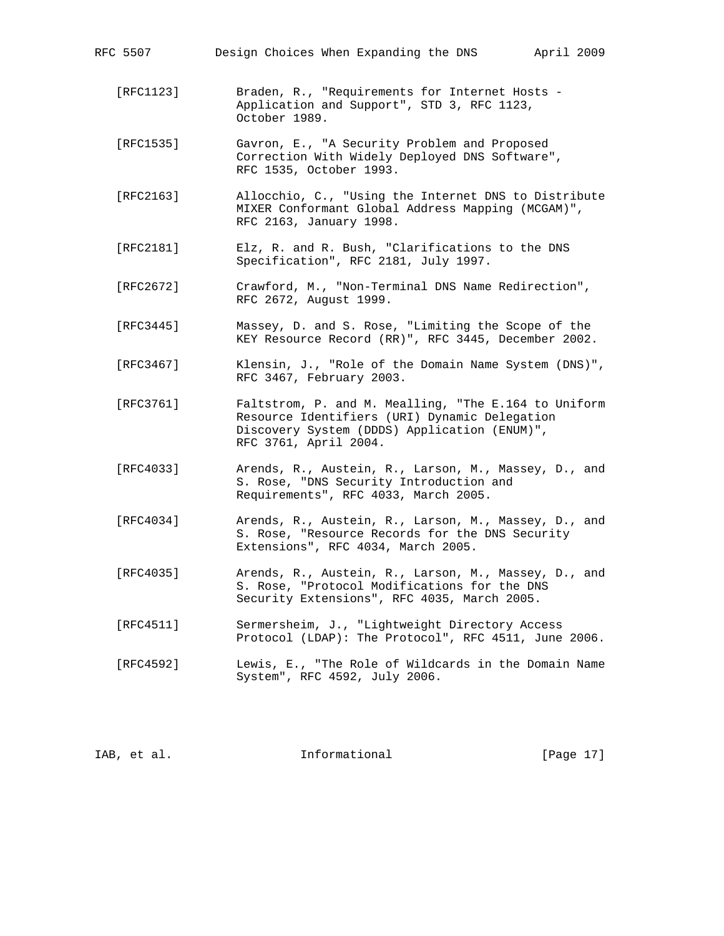| RFC 5507  | Design Choices When Expanding the DNS<br>April 2009                                                                                                                            |
|-----------|--------------------------------------------------------------------------------------------------------------------------------------------------------------------------------|
| [RFC1123] | Braden, R., "Requirements for Internet Hosts -<br>Application and Support", STD 3, RFC 1123,<br>October 1989.                                                                  |
| [RFC1535] | Gavron, E., "A Security Problem and Proposed<br>Correction With Widely Deployed DNS Software",<br>RFC 1535, October 1993.                                                      |
| [RFC2163] | Allocchio, C., "Using the Internet DNS to Distribute<br>MIXER Conformant Global Address Mapping (MCGAM)",<br>RFC 2163, January 1998.                                           |
| [RFC2181] | Elz, R. and R. Bush, "Clarifications to the DNS<br>Specification", RFC 2181, July 1997.                                                                                        |
| [RFC2672] | Crawford, M., "Non-Terminal DNS Name Redirection",<br>RFC 2672, August 1999.                                                                                                   |
| [RFC3445] | Massey, D. and S. Rose, "Limiting the Scope of the<br>KEY Resource Record (RR)", RFC 3445, December 2002.                                                                      |
| [RFC3467] | Klensin, J., "Role of the Domain Name System (DNS)",<br>RFC 3467, February 2003.                                                                                               |
| [RFC3761] | Faltstrom, P. and M. Mealling, "The E.164 to Uniform<br>Resource Identifiers (URI) Dynamic Delegation<br>Discovery System (DDDS) Application (ENUM)",<br>RFC 3761, April 2004. |
| [RFC4033] | Arends, R., Austein, R., Larson, M., Massey, D., and<br>S. Rose, "DNS Security Introduction and<br>Requirements", RFC 4033, March 2005.                                        |
| [RFC4034] | Arends, R., Austein, R., Larson, M., Massey, D., and<br>S. Rose, "Resource Records for the DNS Security<br>Extensions", RFC 4034, March 2005.                                  |
| [RFC4035] | Arends, R., Austein, R., Larson, M., Massey, D., and<br>S. Rose, "Protocol Modifications for the DNS<br>Security Extensions", RFC 4035, March 2005.                            |
| [RFC4511] | Sermersheim, J., "Lightweight Directory Access<br>Protocol (LDAP): The Protocol", RFC 4511, June 2006.                                                                         |
| [RFC4592] | Lewis, E., "The Role of Wildcards in the Domain Name<br>System", RFC 4592, July 2006.                                                                                          |
|           |                                                                                                                                                                                |

| [Page 17]<br>Informational<br>IAB, et al. |  |  |
|-------------------------------------------|--|--|
|-------------------------------------------|--|--|